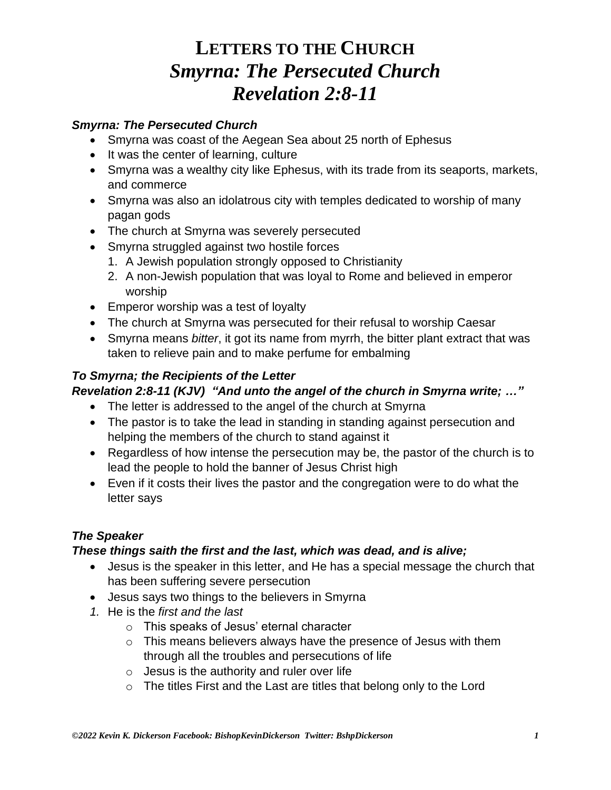#### *Smyrna: The Persecuted Church*

- Smyrna was coast of the Aegean Sea about 25 north of Ephesus
- It was the center of learning, culture
- Smyrna was a wealthy city like Ephesus, with its trade from its seaports, markets, and commerce
- Smyrna was also an idolatrous city with temples dedicated to worship of many pagan gods
- The church at Smyrna was severely persecuted
- Smyrna struggled against two hostile forces
	- 1. A Jewish population strongly opposed to Christianity
	- 2. A non-Jewish population that was loyal to Rome and believed in emperor worship
- Emperor worship was a test of loyalty
- The church at Smyrna was persecuted for their refusal to worship Caesar
- Smyrna means *bitter*, it got its name from myrrh, the bitter plant extract that was taken to relieve pain and to make perfume for embalming

#### *To Smyrna; the Recipients of the Letter*

#### *Revelation 2:8-11 (KJV) "And unto the angel of the church in Smyrna write; …"*

- The letter is addressed to the angel of the church at Smyrna
- The pastor is to take the lead in standing in standing against persecution and helping the members of the church to stand against it
- Regardless of how intense the persecution may be, the pastor of the church is to lead the people to hold the banner of Jesus Christ high
- Even if it costs their lives the pastor and the congregation were to do what the letter says

#### *The Speaker*

#### *These things saith the first and the last, which was dead, and is alive;*

- Jesus is the speaker in this letter, and He has a special message the church that has been suffering severe persecution
- Jesus says two things to the believers in Smyrna
- *1.* He is the *first and the last*
	- o This speaks of Jesus' eternal character
	- o This means believers always have the presence of Jesus with them through all the troubles and persecutions of life
	- $\circ$  Jesus is the authority and ruler over life
	- o The titles First and the Last are titles that belong only to the Lord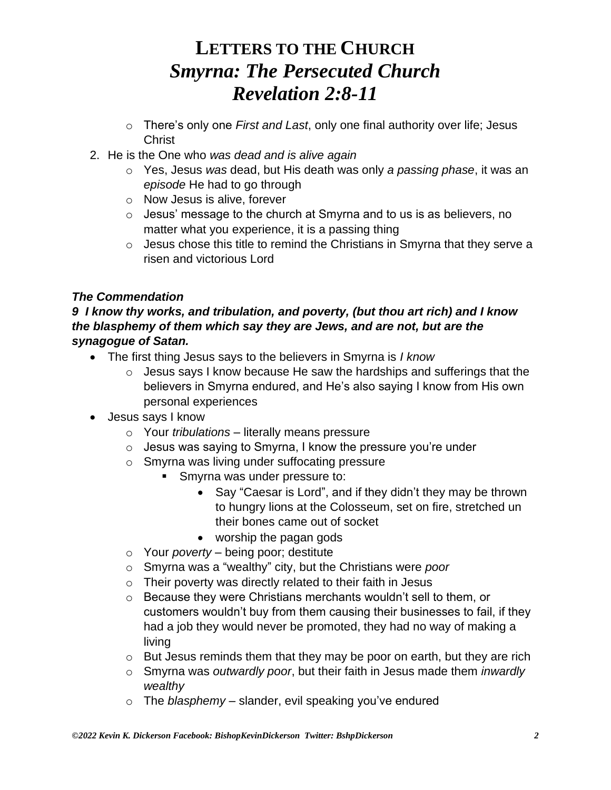- o There's only one *First and Last*, only one final authority over life; Jesus **Christ**
- 2. He is the One who *was dead and is alive again*
	- o Yes, Jesus *was* dead, but His death was only *a passing phase*, it was an *episode* He had to go through
	- o Now Jesus is alive, forever
	- o Jesus' message to the church at Smyrna and to us is as believers, no matter what you experience, it is a passing thing
	- o Jesus chose this title to remind the Christians in Smyrna that they serve a risen and victorious Lord

### *The Commendation*

#### *9 I know thy works, and tribulation, and poverty, (but thou art rich) and I know the blasphemy of them which say they are Jews, and are not, but are the synagogue of Satan.*

- The first thing Jesus says to the believers in Smyrna is *I know*
	- $\circ$  Jesus says I know because He saw the hardships and sufferings that the believers in Smyrna endured, and He's also saying I know from His own personal experiences
- Jesus says I know
	- o Your *tribulations* literally means pressure
	- $\circ$  Jesus was saying to Smyrna, I know the pressure you're under
	- o Smyrna was living under suffocating pressure
		- **EXECUTE:** Smyrna was under pressure to:
			- Say "Caesar is Lord", and if they didn't they may be thrown to hungry lions at the Colosseum, set on fire, stretched un their bones came out of socket
			- worship the pagan gods
	- o Your *poverty* being poor; destitute
	- o Smyrna was a "wealthy" city, but the Christians were *poor*
	- $\circ$  Their poverty was directly related to their faith in Jesus
	- o Because they were Christians merchants wouldn't sell to them, or customers wouldn't buy from them causing their businesses to fail, if they had a job they would never be promoted, they had no way of making a living
	- o But Jesus reminds them that they may be poor on earth, but they are rich
	- o Smyrna was *outwardly poor*, but their faith in Jesus made them *inwardly wealthy*
	- o The *blasphemy* slander, evil speaking you've endured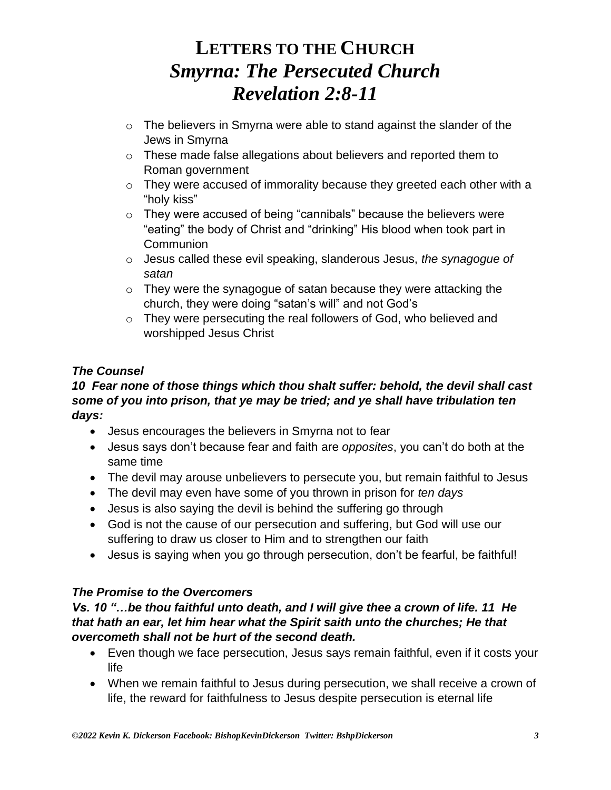- o The believers in Smyrna were able to stand against the slander of the Jews in Smyrna
- o These made false allegations about believers and reported them to Roman government
- o They were accused of immorality because they greeted each other with a "holy kiss"
- o They were accused of being "cannibals" because the believers were "eating" the body of Christ and "drinking" His blood when took part in **Communion**
- o Jesus called these evil speaking, slanderous Jesus, *the synagogue of satan*
- $\circ$  They were the synagogue of satan because they were attacking the church, they were doing "satan's will" and not God's
- o They were persecuting the real followers of God, who believed and worshipped Jesus Christ

### *The Counsel*

### *10 Fear none of those things which thou shalt suffer: behold, the devil shall cast some of you into prison, that ye may be tried; and ye shall have tribulation ten days:*

- Jesus encourages the believers in Smyrna not to fear
- Jesus says don't because fear and faith are *opposites*, you can't do both at the same time
- The devil may arouse unbelievers to persecute you, but remain faithful to Jesus
- The devil may even have some of you thrown in prison for *ten days*
- Jesus is also saying the devil is behind the suffering go through
- God is not the cause of our persecution and suffering, but God will use our suffering to draw us closer to Him and to strengthen our faith
- Jesus is saying when you go through persecution, don't be fearful, be faithful!

### *The Promise to the Overcomers*

#### *Vs. 10 "…be thou faithful unto death, and I will give thee a crown of life. 11 He that hath an ear, let him hear what the Spirit saith unto the churches; He that overcometh shall not be hurt of the second death.*

- Even though we face persecution, Jesus says remain faithful, even if it costs your life
- When we remain faithful to Jesus during persecution, we shall receive a crown of life, the reward for faithfulness to Jesus despite persecution is eternal life